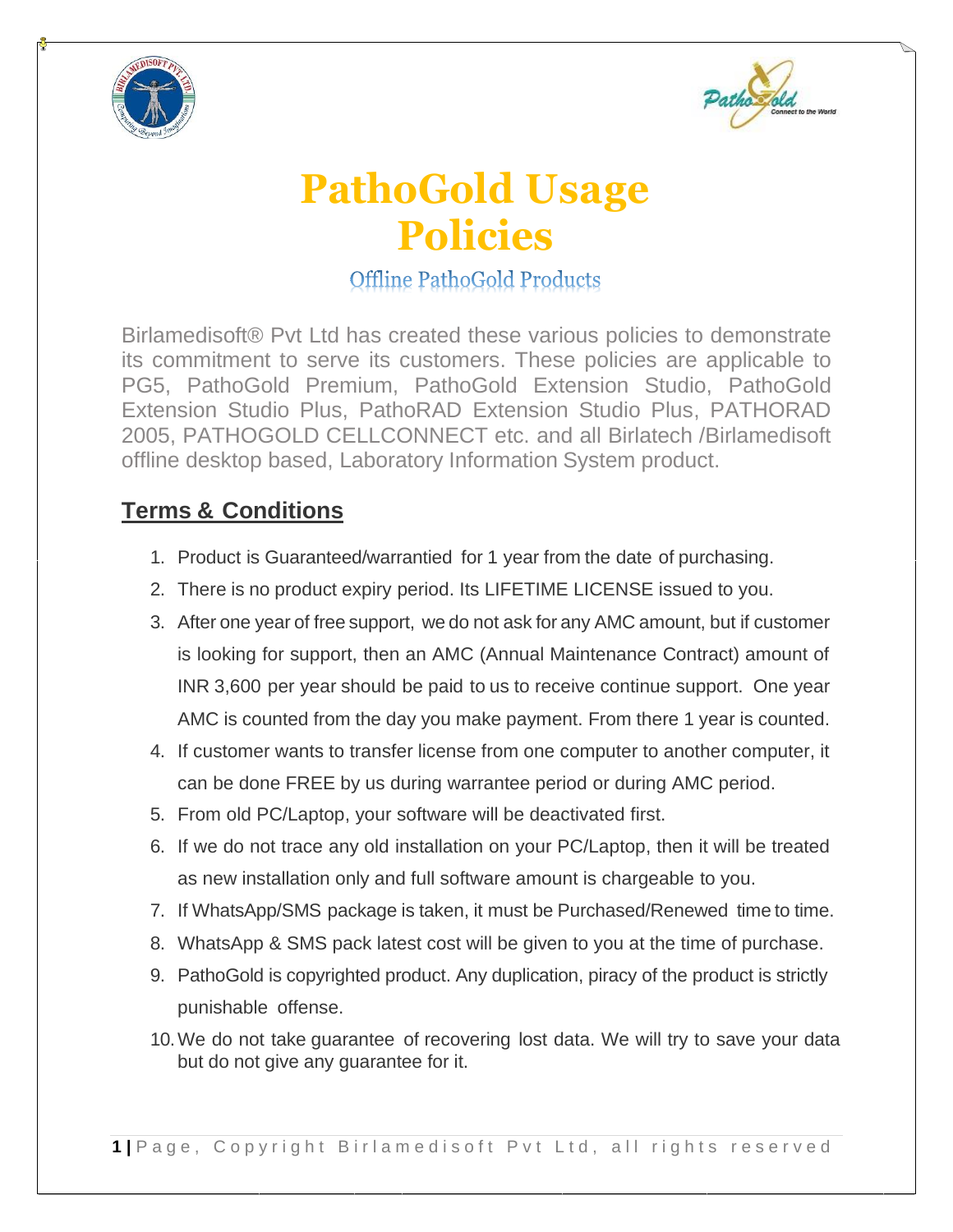



## **PathoGold Usage Policies**

**Offline PathoGold Products** 

Birlamedisoft® Pvt Ltd has created these various policies to demonstrate its commitment to serve its customers. These policies are applicable to PG5, PathoGold Premium, PathoGold Extension Studio, PathoGold Extension Studio Plus, PathoRAD Extension Studio Plus, PATHORAD 2005, PATHOGOLD CELLCONNECT etc. and all Birlatech /Birlamedisoft offline desktop based, Laboratory Information System product.

## **Terms & Conditions**

- 1. Product is Guaranteed/warrantied for 1 year from the date of purchasing.
- 2. There is no product expiry period. Its LIFETIME LICENSE issued to you.
- 3. After one year of free support, we do not ask for any AMC amount, but if customer is looking for support, then an AMC (Annual Maintenance Contract) amount of INR 3,600 per year should be paid to us to receive continue support. One year AMC is counted from the day you make payment. From there 1 year is counted.
- 4. If customer wants to transfer license from one computer to another computer, it can be done FREE by us during warrantee period or during AMC period.
- 5. From old PC/Laptop, your software will be deactivated first.
- 6. If we do not trace any old installation on your PC/Laptop, then it will be treated as new installation only and full software amount is chargeable to you.
- 7. If WhatsApp/SMS package is taken, it must be Purchased/Renewed time to time.
- 8. WhatsApp & SMS pack latest cost will be given to you at the time of purchase.
- 9. PathoGold is copyrighted product. Any duplication, piracy of the product is strictly punishable offense.
- 10.We do not take guarantee of recovering lost data. We will try to save your data but do not give any guarantee for it.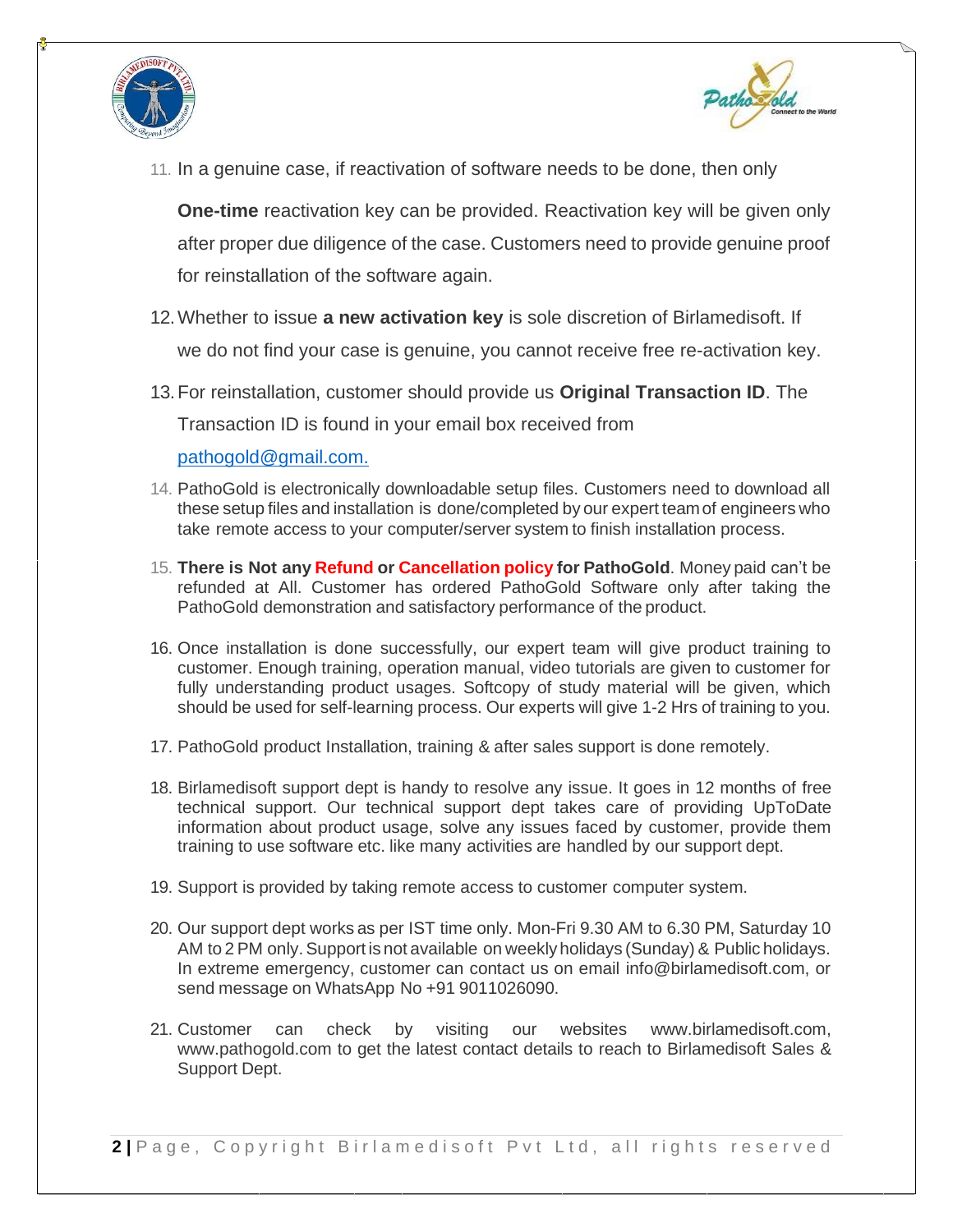



11. In a genuine case, if reactivation of software needs to be done, then only

**One-time** reactivation key can be provided. Reactivation key will be given only after proper due diligence of the case. Customers need to provide genuine proof for reinstallation of the software again.

- 12.Whether to issue **a new activation key** is sole discretion of Birlamedisoft. If we do not find your case is genuine, you cannot receive free re-activation key.
- 13.For reinstallation, customer should provide us **Original Transaction ID**. The Transaction ID is found in your email box received from

[pathogold@gmail.com.](mailto:pathogold@gmail.com.)

- 14. PathoGold is electronically downloadable setup files. Customers need to download all these setup files and installation is done/completed by our expert teamof engineers who take remote access to your computer/server system to finish installation process.
- 15. **There is Not any Refund or Cancellation policy for PathoGold**. Money paid can't be refunded at All. Customer has ordered PathoGold Software only after taking the PathoGold demonstration and satisfactory performance of the product.
- 16. Once installation is done successfully, our expert team will give product training to customer. Enough training, operation manual, video tutorials are given to customer for fully understanding product usages. Softcopy of study material will be given, which should be used for self-learning process. Our experts will give 1-2 Hrs of training to you.
- 17. PathoGold product Installation, training & after sales support is done remotely.
- 18. Birlamedisoft support dept is handy to resolve any issue. It goes in 12 months of free technical support. Our technical support dept takes care of providing UpToDate information about product usage, solve any issues faced by customer, provide them training to use software etc. like many activities are handled by our support dept.
- 19. Support is provided by taking remote access to customer computer system.
- 20. Our support dept works as per IST time only. Mon-Fri 9.30 AM to 6.30 PM, Saturday 10 AM to 2 PM only.Support is not available on weekly holidays (Sunday) & Public holidays. In extreme emergency, customer can contact us on email [info@birlamedisoft.com,](mailto:info@birlamedisoft.com) or send message on WhatsApp No +91 9011026090.
- 21. Customer can check by visiting our websites [www.birlamedisoft.com,](http://www.birlamedisoft.com/) [www.pathogold.com t](http://www.pathogold.com/)o get the latest contact details to reach to Birlamedisoft Sales & Support Dept.

**2** | Page, Copyright Birlamedisoft Pvt Ltd, all rights reserved